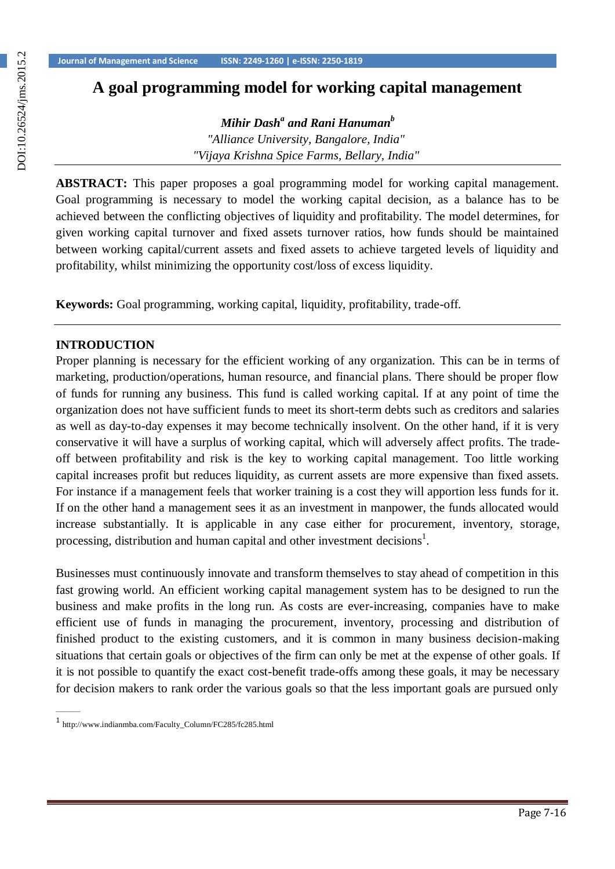# **A goal programming model for working capital management**

*Mihir Dash<sup>a</sup> and Rani Hanuman<sup>b</sup>*

*"Alliance University, Bangalore, India" "Vijaya Krishna Spice Farms, Bellary, India"*

**ABSTRACT:** This paper proposes a goal programming model for working capital management. Goal programming is necessary to model the working capital decision, as a balance has to be achieved between the conflicting objectives of liquidity and profitability. The model determines, for given working capital turnover and fixed assets turnover ratios, how funds should be maintained between working capital/current assets and fixed assets to achieve targeted levels of liquidity and profitability, whilst minimizing the opportunity cost/loss of excess liquidity.

**Keywords:** Goal programming, working capital, liquidity, profitability, trade-off.

# **INTRODUCTION**

Proper planning is necessary for the efficient working of any organization. This can be in terms of marketing, production/operations, human resource, and financial plans. There should be proper flow of funds for running any business. This fund is called working capital. If at any point of time the organization does not have sufficient funds to meet its short-term debts such as creditors and salaries as well as day-to-day expenses it may become technically insolvent. On the other hand, if it is very conservative it will have a surplus of working capital, which will adversely affect profits. The tradeoff between profitability and risk is the key to working capital management. Too little working capital increases profit but reduces liquidity, as current assets are more expensive than fixed assets. For instance if a management feels that worker training is a cost they will apportion less funds for it. If on the other hand a management sees it as an investment in manpower, the funds allocated would increase substantially. It is applicable in any case either for procurement, inventory, storage, processing, distribution and human capital and other investment decisions<sup>1</sup>.

Businesses must continuously innovate and transform themselves to stay ahead of competition in this fast growing world. An efficient working capital management system has to be designed to run the business and make profits in the long run. As costs are ever-increasing, companies have to make efficient use of funds in managing the procurement, inventory, processing and distribution of finished product to the existing customers, and it is common in many business decision-making situations that certain goals or objectives of the firm can only be met at the expense of other goals. If it is not possible to quantify the exact cost-benefit trade-offs among these goals, it may be necessary for decision makers to rank order the various goals so that the less important goals are pursued only

———

<sup>1</sup>[http://www.indianmba.com/Faculty\\_Column/FC285/fc285.html](http://www.indianmba.com/Faculty_Column/FC285/fc285.html)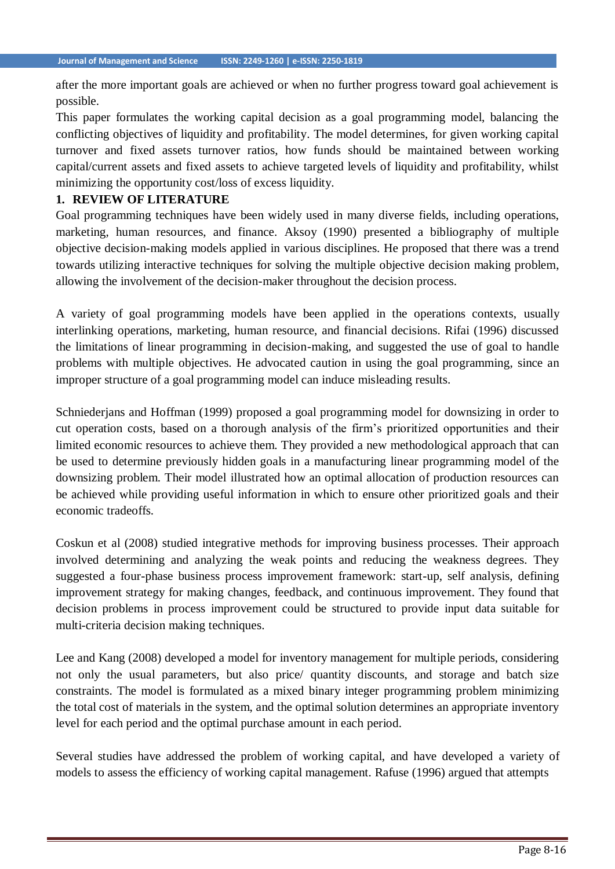after the more important goals are achieved or when no further progress toward goal achievement is possible.

This paper formulates the working capital decision as a goal programming model, balancing the conflicting objectives of liquidity and profitability. The model determines, for given working capital turnover and fixed assets turnover ratios, how funds should be maintained between working capital/current assets and fixed assets to achieve targeted levels of liquidity and profitability, whilst minimizing the opportunity cost/loss of excess liquidity.

# **1. REVIEW OF LITERATURE**

Goal programming techniques have been widely used in many diverse fields, including operations, marketing, human resources, and finance. Aksoy (1990) presented a bibliography of multiple objective decision-making models applied in various disciplines. He proposed that there was a trend towards utilizing interactive techniques for solving the multiple objective decision making problem, allowing the involvement of the decision-maker throughout the decision process.

A variety of goal programming models have been applied in the operations contexts, usually interlinking operations, marketing, human resource, and financial decisions. Rifai (1996) discussed the limitations of linear programming in decision-making, and suggested the use of goal to handle problems with multiple objectives. He advocated caution in using the goal programming, since an improper structure of a goal programming model can induce misleading results.

Schniederjans and Hoffman (1999) proposed a goal programming model for downsizing in order to cut operation costs, based on a thorough analysis of the firm's prioritized opportunities and their limited economic resources to achieve them. They provided a new methodological approach that can be used to determine previously hidden goals in a manufacturing linear programming model of the downsizing problem. Their model illustrated how an optimal allocation of production resources can be achieved while providing useful information in which to ensure other prioritized goals and their economic tradeoffs.

Coskun et al (2008) studied integrative methods for improving business processes. Their approach involved determining and analyzing the weak points and reducing the weakness degrees. They suggested a four-phase business process improvement framework: start-up, self analysis, defining improvement strategy for making changes, feedback, and continuous improvement. They found that decision problems in process improvement could be structured to provide input data suitable for multi-criteria decision making techniques.

Lee and Kang (2008) developed a model for inventory management for multiple periods, considering not only the usual parameters, but also price/ quantity discounts, and storage and batch size constraints. The model is formulated as a mixed binary integer programming problem minimizing the total cost of materials in the system, and the optimal solution determines an appropriate inventory level for each period and the optimal purchase amount in each period.

Several studies have addressed the problem of working capital, and have developed a variety of models to assess the efficiency of working capital management. Rafuse (1996) argued that attempts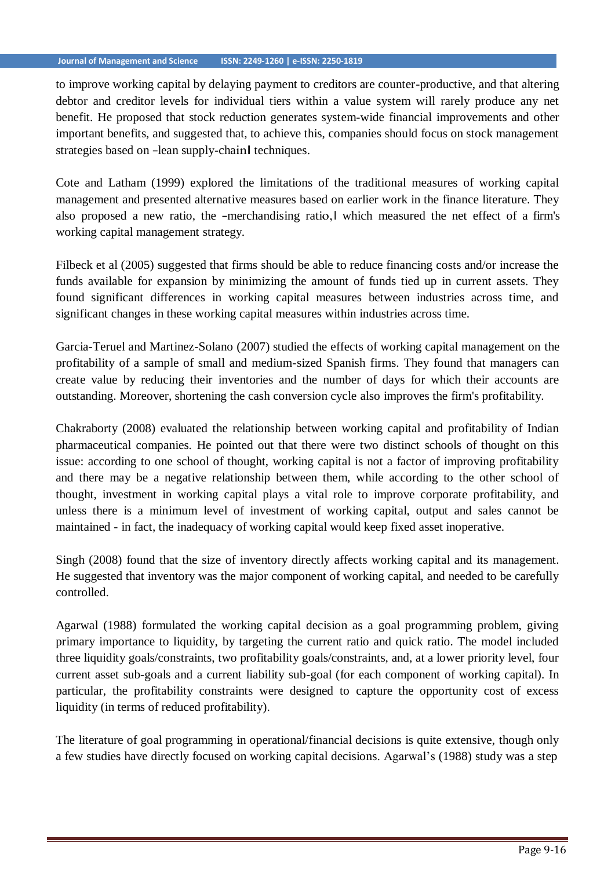to improve working capital by delaying payment to creditors are counter-productive, and that altering debtor and creditor levels for individual tiers within a value system will rarely produce any net benefit. He proposed that stock reduction generates system-wide financial improvements and other important benefits, and suggested that, to achieve this, companies should focus on stock management strategies based on -lean supply-chain techniques.

Cote and Latham (1999) explored the limitations of the traditional measures of working capital management and presented alternative measures based on earlier work in the finance literature. They also proposed a new ratio, the ―merchandising ratio,‖ which measured the net effect of a firm's working capital management strategy.

Filbeck et al (2005) suggested that firms should be able to reduce financing costs and/or increase the funds available for expansion by minimizing the amount of funds tied up in current assets. They found significant differences in working capital measures between industries across time, and significant changes in these working capital measures within industries across time.

Garcia-Teruel and Martinez-Solano (2007) studied the effects of working capital management on the profitability of a sample of small and medium-sized Spanish firms. They found that managers can create value by reducing their inventories and the number of days for which their accounts are outstanding. Moreover, shortening the cash conversion cycle also improves the firm's profitability.

Chakraborty (2008) evaluated the relationship between working capital and profitability of Indian pharmaceutical companies. He pointed out that there were two distinct schools of thought on this issue: according to one school of thought, working capital is not a factor of improving profitability and there may be a negative relationship between them, while according to the other school of thought, investment in working capital plays a vital role to improve corporate profitability, and unless there is a minimum level of investment of working capital, output and sales cannot be maintained - in fact, the inadequacy of working capital would keep fixed asset inoperative.

Singh (2008) found that the size of inventory directly affects working capital and its management. He suggested that inventory was the major component of working capital, and needed to be carefully controlled.

Agarwal (1988) formulated the working capital decision as a goal programming problem, giving primary importance to liquidity, by targeting the current ratio and quick ratio. The model included three liquidity goals/constraints, two profitability goals/constraints, and, at a lower priority level, four current asset sub-goals and a current liability sub-goal (for each component of working capital). In particular, the profitability constraints were designed to capture the opportunity cost of excess liquidity (in terms of reduced profitability).

The literature of goal programming in operational/financial decisions is quite extensive, though only a few studies have directly focused on working capital decisions. Agarwal's (1988) study was a step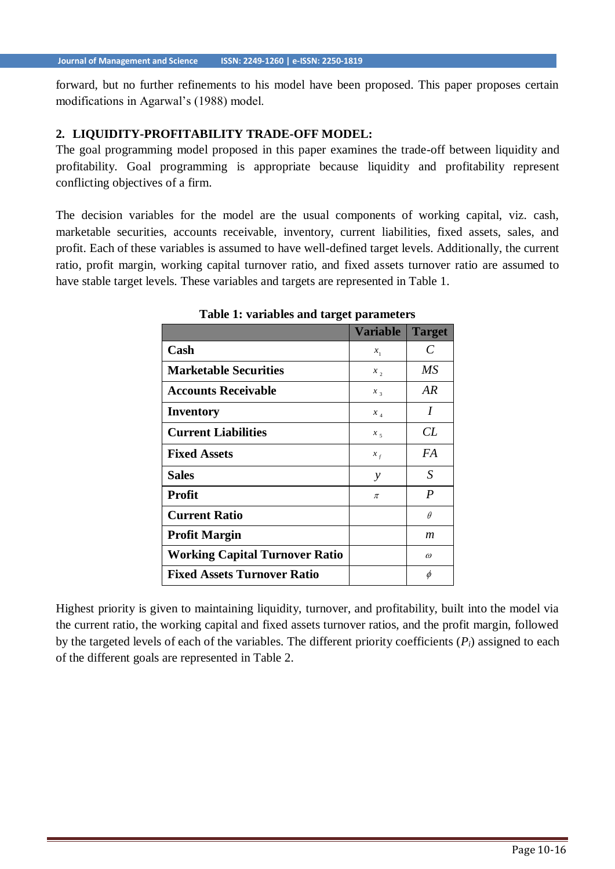forward, but no further refinements to his model have been proposed. This paper proposes certain modifications in Agarwal's (1988) model.

#### **2. LIQUIDITY-PROFITABILITY TRADE-OFF MODEL:**

The goal programming model proposed in this paper examines the trade-off between liquidity and profitability. Goal programming is appropriate because liquidity and profitability represent conflicting objectives of a firm.

The decision variables for the model are the usual components of working capital, viz. cash, marketable securities, accounts receivable, inventory, current liabilities, fixed assets, sales, and profit. Each of these variables is assumed to have well-defined target levels. Additionally, the current ratio, profit margin, working capital turnover ratio, and fixed assets turnover ratio are assumed to have stable target levels. These variables and targets are represented in Table 1.

|                                       | <b>Variable</b> | <b>Target</b> |
|---------------------------------------|-----------------|---------------|
| Cash                                  | $x_{1}$         | C             |
| <b>Marketable Securities</b>          | x,              | MS            |
| <b>Accounts Receivable</b>            | $x_{3}$         | AR.           |
| <b>Inventory</b>                      | $x_{_4}$        | I             |
| <b>Current Liabilities</b>            | $x_{5}$         | CL            |
| <b>Fixed Assets</b>                   | $x_{f}$         | FA            |
| <b>Sales</b>                          | $\mathcal{Y}$   | S             |
| <b>Profit</b>                         | π               | P             |
| <b>Current Ratio</b>                  |                 | $\theta$      |
| <b>Profit Margin</b>                  |                 | m             |
| <b>Working Capital Turnover Ratio</b> |                 | $\omega$      |
| <b>Fixed Assets Turnover Ratio</b>    |                 | φ             |

**Table 1: variables and target parameters**

Highest priority is given to maintaining liquidity, turnover, and profitability, built into the model via the current ratio, the working capital and fixed assets turnover ratios, and the profit margin, followed by the targeted levels of each of the variables. The different priority coefficients (*Pi*) assigned to each of the different goals are represented in Table 2.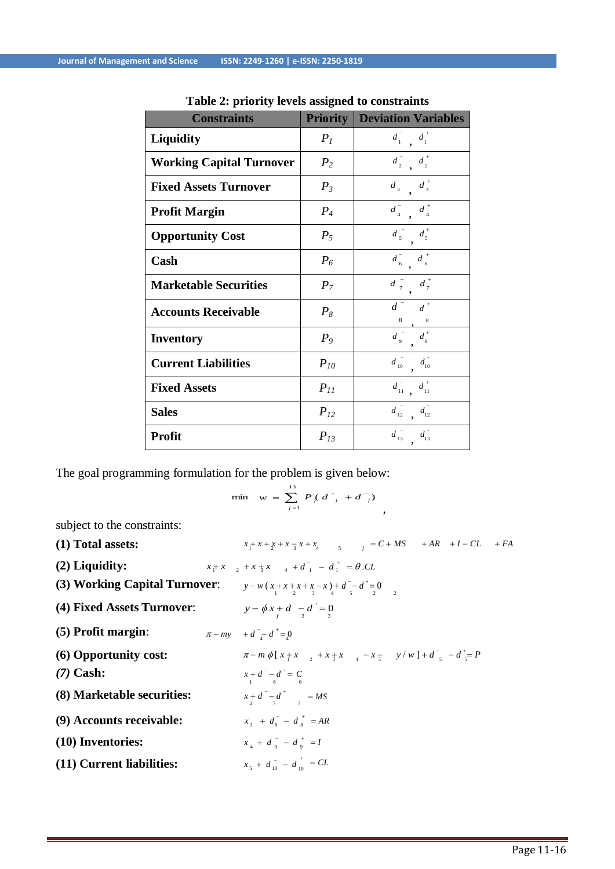| <b>Constraints</b>              | <b>Priority</b> | <b>Deviation Variables</b>                                                 |
|---------------------------------|-----------------|----------------------------------------------------------------------------|
| Liquidity                       | $P_I$           | $d_1$ , $d_1$                                                              |
| <b>Working Capital Turnover</b> | P <sub>2</sub>  | $d_2$ , $d_2$                                                              |
| <b>Fixed Assets Turnover</b>    | $P_3$           | $d_3^ d_3^+$                                                               |
| <b>Profit Margin</b>            | $P_4$           | $d_4^{\dagger}$ $d_4^{\dagger}$                                            |
| <b>Opportunity Cost</b>         | $P_5$           | $d_5$ $d_5$ $d_5$                                                          |
| Cash                            | $P_6$           | $\begin{smallmatrix}&-&&&&\\&\ddots&&&d\\&6&&&&6\end{smallmatrix}$         |
| <b>Marketable Securities</b>    | $P_7$           | $d \frac{1}{7}$ $d \frac{1}{7}$                                            |
| <b>Accounts Receivable</b>      | $P_8$           | $\overline{d}$ $\overline{d}$ $\overline{d}$ $\overline{d}$ $\overline{d}$ |
| <b>Inventory</b>                | $P_{9}$         | $d_{9}^{\phantom{1}+}\,$ $d_{9}^{\phantom{1}+}\,$                          |
| <b>Current Liabilities</b>      | $P_{10}$        | $d_{10}^{\dagger}$ $d_{10}^{\dagger}$                                      |
| <b>Fixed Assets</b>             | $P_{11}$        | $d_{11}^{\dagger}$ , $d_{11}^{\dagger}$                                    |
| <b>Sales</b>                    | $P_{12}$        | $d_{12}^{\  \  \, }$ $d_{12}^{\  \  \, }$                                  |
| <b>Profit</b>                   | $P_{13}$        | $d_{13}^{\phantom{1}} d_{13}^{\phantom{1}}$                                |

**Table 2: priority levels assigned to constraints**

The goal programming formulation for the problem is given below:

$$
\min \quad w = \sum_{j=1}^{13} P \left( d^+_{j} + d^-_{j} \right) \quad ,
$$

subject to the constraints:

| (1) Total assets:                                                    | $x_1 + x + x_2 + x_3 + x_4$<br>$x_2 + x_4$<br>$x_3 + x_4$<br>$x_5$<br>$x_6$<br>$x_7$<br>$x_8$<br>$x_7$<br>$x_8$<br>$x_7$<br>$x_8$<br>$x_9$<br>$x_9$<br>$x_9$<br> |
|----------------------------------------------------------------------|------------------------------------------------------------------------------------------------------------------------------------------------------------------|
| $(2)$ Liquidity:                                                     | $x_1 + x$ , $x_2 + x_3 + x_4$ , $x_3 + x_1 = d_1^+ = \theta$ . CL                                                                                                |
| <b>(3) Working Capital Turnover:</b> $y-w(x+x+x+x-x)+d^{-}d^{-} = 0$ |                                                                                                                                                                  |
| (4) Fixed Assets Turnover:                                           | $y - \phi x + d^{-} - d^{+} = 0$                                                                                                                                 |
| $(5)$ Profit margin:                                                 | $\pi - my$ + $d^- - d^+ = 0$                                                                                                                                     |
| (6) Opportunity cost:                                                | $\pi - m \phi [x + x, x + x + x, x - x - y / w] + d$ , $-d \phi = P$                                                                                             |
| $(7)$ Cash:                                                          | $x + d = -d^+ = C$                                                                                                                                               |
| (8) Marketable securities:                                           | $x + d = -d^+$ = MS                                                                                                                                              |
| (9) Accounts receivable:                                             | $x_2 + d_2 - d_3 + AR$                                                                                                                                           |
| (10) Inventories:                                                    | $x_{4} + d_{9} - d_{9}^{+} = I$                                                                                                                                  |
| (11) Current liabilities:                                            | $x_5 + d_{10} - d_{10}^+ = CL$                                                                                                                                   |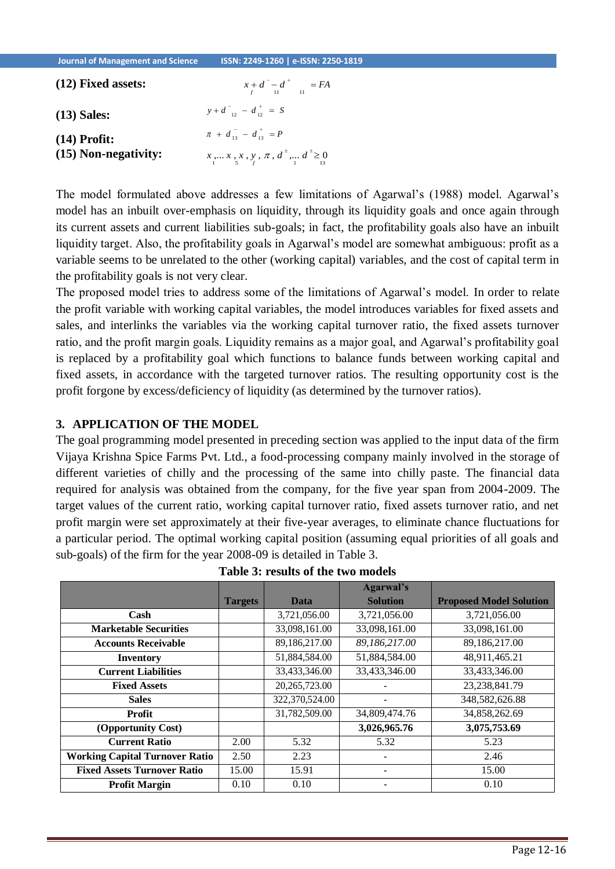| $(12)$ Fixed assets: | $x + d = d^+$ = FA                                    |
|----------------------|-------------------------------------------------------|
| $(13)$ Sales:        | $y+d_{12}^{-} - d_{12}^{+} = S$                       |
| $(14)$ Profit:       | $\pi + d_{13} = d_{13}^+ = P$                         |
| (15) Non-negativity: | $x_1, x_2, x_3, y_1, \pi, d^{\pm}$ , $d^{\pm} \geq 0$ |

The model formulated above addresses a few limitations of Agarwal's (1988) model. Agarwal's model has an inbuilt over-emphasis on liquidity, through its liquidity goals and once again through its current assets and current liabilities sub-goals; in fact, the profitability goals also have an inbuilt liquidity target. Also, the profitability goals in Agarwal's model are somewhat ambiguous: profit as a variable seems to be unrelated to the other (working capital) variables, and the cost of capital term in the profitability goals is not very clear.

The proposed model tries to address some of the limitations of Agarwal's model. In order to relate the profit variable with working capital variables, the model introduces variables for fixed assets and sales, and interlinks the variables via the working capital turnover ratio, the fixed assets turnover ratio, and the profit margin goals. Liquidity remains as a major goal, and Agarwal's profitability goal is replaced by a profitability goal which functions to balance funds between working capital and fixed assets, in accordance with the targeted turnover ratios. The resulting opportunity cost is the profit forgone by excess/deficiency of liquidity (as determined by the turnover ratios).

## **3. APPLICATION OF THE MODEL**

The goal programming model presented in preceding section was applied to the input data of the firm Vijaya Krishna Spice Farms Pvt. Ltd., a food-processing company mainly involved in the storage of different varieties of chilly and the processing of the same into chilly paste. The financial data required for analysis was obtained from the company, for the five year span from 2004-2009. The target values of the current ratio, working capital turnover ratio, fixed assets turnover ratio, and net profit margin were set approximately at their five-year averages, to eliminate chance fluctuations for a particular period. The optimal working capital position (assuming equal priorities of all goals and sub-goals) of the firm for the year 2008-09 is detailed in Table 3.

|                                       |                |                 | <b>Agarwal's</b> |                                |
|---------------------------------------|----------------|-----------------|------------------|--------------------------------|
|                                       | <b>Targets</b> | Data            | <b>Solution</b>  | <b>Proposed Model Solution</b> |
| Cash                                  |                | 3,721,056.00    | 3,721,056.00     | 3,721,056.00                   |
| <b>Marketable Securities</b>          |                | 33,098,161.00   | 33,098,161.00    | 33,098,161.00                  |
| <b>Accounts Receivable</b>            |                | 89,186,217.00   | 89,186,217.00    | 89,186,217.00                  |
| <b>Inventory</b>                      |                | 51,884,584.00   | 51,884,584.00    | 48,911,465.21                  |
| <b>Current Liabilities</b>            |                | 33,433,346.00   | 33,433,346.00    | 33,433,346.00                  |
| <b>Fixed Assets</b>                   |                | 20, 265, 723.00 |                  | 23, 238, 841. 79               |
| <b>Sales</b>                          |                | 322,370,524.00  |                  | 348,582,626.88                 |
| <b>Profit</b>                         |                | 31,782,509.00   | 34,809,474.76    | 34,858,262.69                  |
| (Opportunity Cost)                    |                |                 | 3,026,965.76     | 3,075,753.69                   |
| <b>Current Ratio</b>                  | 2.00           | 5.32            | 5.32             | 5.23                           |
| <b>Working Capital Turnover Ratio</b> | 2.50           | 2.23            |                  | 2.46                           |
| <b>Fixed Assets Turnover Ratio</b>    | 15.00          | 15.91           |                  | 15.00                          |
| <b>Profit Margin</b>                  | 0.10           | 0.10            |                  | 0.10                           |

| Table 3: results of the two models |  |
|------------------------------------|--|
|------------------------------------|--|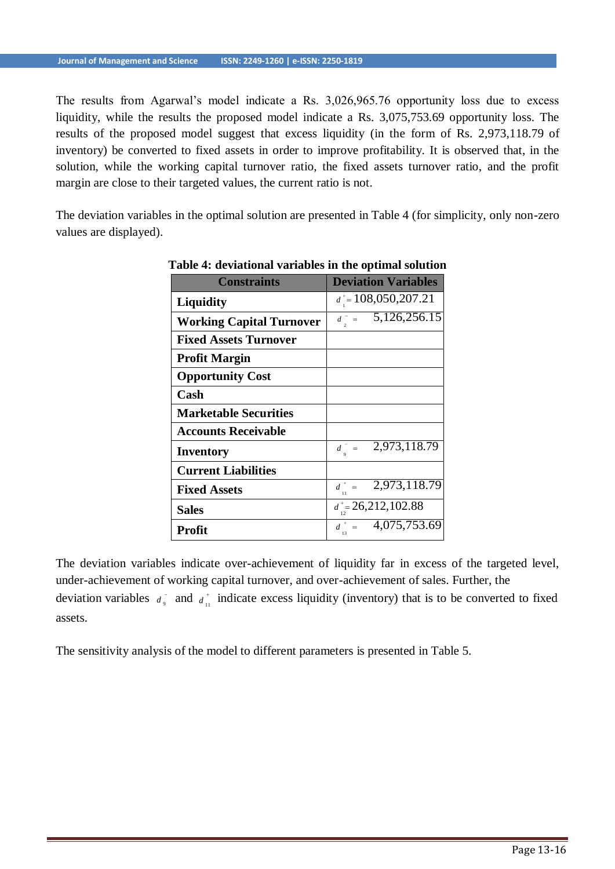The results from Agarwal's model indicate a Rs. 3,026,965.76 opportunity loss due to excess liquidity, while the results the proposed model indicate a Rs. 3,075,753.69 opportunity loss. The results of the proposed model suggest that excess liquidity (in the form of Rs. 2,973,118.79 of inventory) be converted to fixed assets in order to improve profitability. It is observed that, in the solution, while the working capital turnover ratio, the fixed assets turnover ratio, and the profit margin are close to their targeted values, the current ratio is not.

The deviation variables in the optimal solution are presented in Table 4 (for simplicity, only non-zero values are displayed).

| <b>Constraints</b>              | <b>Deviation Variables</b> |
|---------------------------------|----------------------------|
| <b>Liquidity</b>                | $d^* = 108,050,207.21$     |
| <b>Working Capital Turnover</b> | $d = 5,126,256.15$         |
| <b>Fixed Assets Turnover</b>    |                            |
| <b>Profit Margin</b>            |                            |
| <b>Opportunity Cost</b>         |                            |
| Cash                            |                            |
| <b>Marketable Securities</b>    |                            |
| <b>Accounts Receivable</b>      |                            |
| Inventory                       | $d = 2,973,118.79$         |
| <b>Current Liabilities</b>      |                            |
| <b>Fixed Assets</b>             | $d^* = 2,973,118.79$       |
| <b>Sales</b>                    | $d^* = 26,212,102.88$      |
| Profit                          | $d^+ = 4,075,753.69$       |

## **Table 4: deviational variables in the optimal solution**

deviation variables  $d_{\theta}$  and  $d_{\theta}$  indicate excess liquidity (inventory) that is to be converted to fixed The deviation variables indicate over-achievement of liquidity far in excess of the targeted level, under-achievement of working capital turnover, and over-achievement of sales. Further, the assets.

The sensitivity analysis of the model to different parameters is presented in Table 5.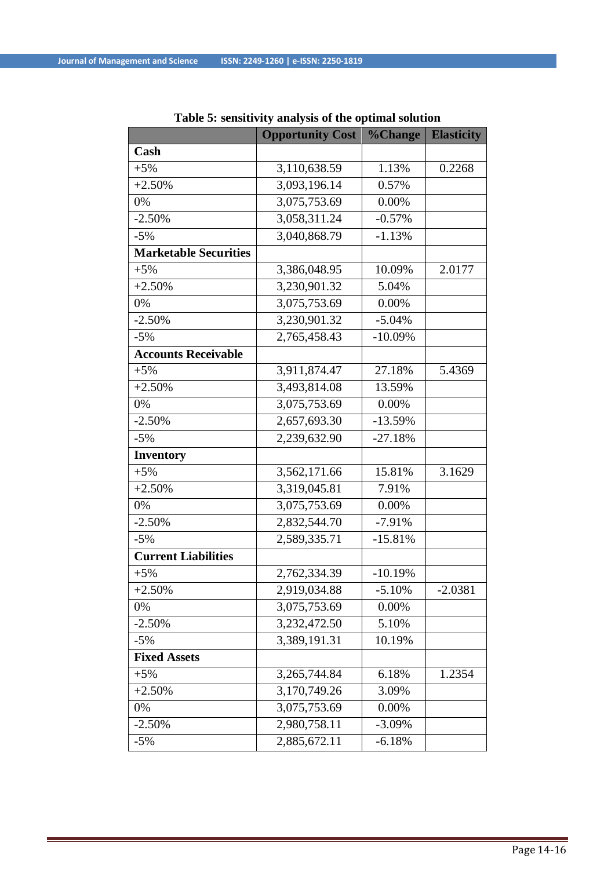|                              | <b>Opportunity Cost</b> | <b>%Change</b> | <b>Elasticity</b> |
|------------------------------|-------------------------|----------------|-------------------|
| Cash                         |                         |                |                   |
| $+5%$                        | 3,110,638.59            | 1.13%          | 0.2268            |
| $+2.50%$                     | 3,093,196.14            | 0.57%          |                   |
| 0%                           | 3,075,753.69            | 0.00%          |                   |
| $-2.50%$                     | 3,058,311.24            | $-0.57%$       |                   |
| $-5%$                        | 3,040,868.79            | $-1.13%$       |                   |
| <b>Marketable Securities</b> |                         |                |                   |
| $+5%$                        | 3,386,048.95            | 10.09%         | 2.0177            |
| $+2.50%$                     | 3,230,901.32            | 5.04%          |                   |
| 0%                           | 3,075,753.69            | 0.00%          |                   |
| $-2.50%$                     | 3,230,901.32            | $-5.04%$       |                   |
| $-5%$                        | 2,765,458.43            | $-10.09%$      |                   |
| <b>Accounts Receivable</b>   |                         |                |                   |
| $+5%$                        | 3,911,874.47            | 27.18%         | 5.4369            |
| $+2.50%$                     | 3,493,814.08            | 13.59%         |                   |
| 0%                           | 3,075,753.69            | 0.00%          |                   |
| $-2.50%$                     | 2,657,693.30            | $-13.59%$      |                   |
| $-5%$                        | 2,239,632.90            | $-27.18%$      |                   |
| <b>Inventory</b>             |                         |                |                   |
| $+5%$                        | 3,562,171.66            | 15.81%         | 3.1629            |
| $+2.50%$                     | 3,319,045.81            | 7.91%          |                   |
| 0%                           | 3,075,753.69            | 0.00%          |                   |
| $-2.50%$                     | 2,832,544.70            | $-7.91%$       |                   |
| $-5%$                        | 2,589,335.71            | $-15.81%$      |                   |
| <b>Current Liabilities</b>   |                         |                |                   |
| $+5%$                        | 2,762,334.39            | $-10.19%$      |                   |
| $+2.50%$                     | 2,919,034.88            | $-5.10%$       | $-2.0381$         |
| 0%                           | 3,075,753.69            | 0.00%          |                   |
| $-2.50%$                     | 3,232,472.50            | 5.10%          |                   |
| $-5%$                        | 3,389,191.31            | 10.19%         |                   |
| <b>Fixed Assets</b>          |                         |                |                   |
| $+5%$                        | 3,265,744.84            | 6.18%          | 1.2354            |
| $+2.50%$                     | 3,170,749.26            | 3.09%          |                   |
| 0%                           | 3,075,753.69            | 0.00%          |                   |
| $-2.50%$                     | 2,980,758.11            | $-3.09%$       |                   |
| $-5%$                        | 2,885,672.11            | $-6.18%$       |                   |

|  |  | Table 5: sensitivity analysis of the optimal solution |  |  |
|--|--|-------------------------------------------------------|--|--|
|  |  |                                                       |  |  |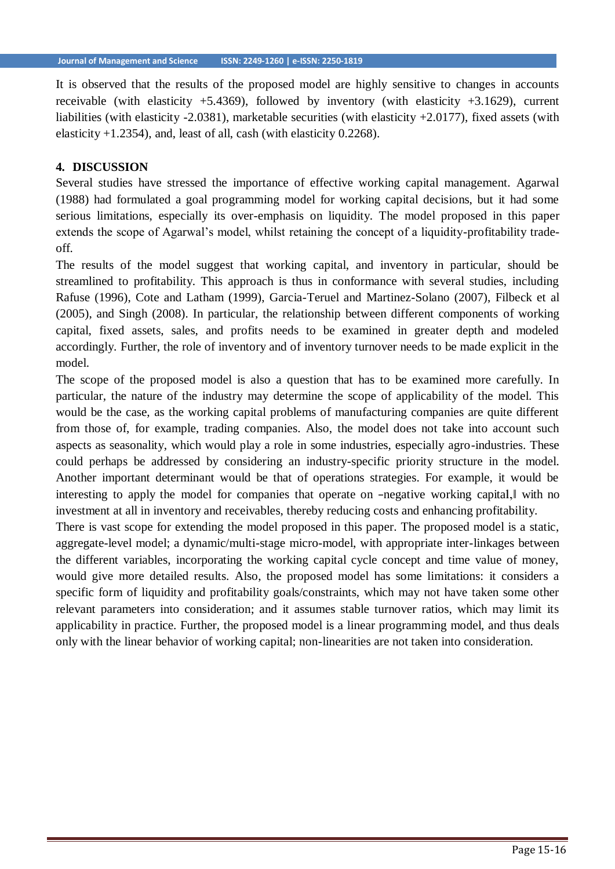It is observed that the results of the proposed model are highly sensitive to changes in accounts receivable (with elasticity  $+5.4369$ ), followed by inventory (with elasticity  $+3.1629$ ), current liabilities (with elasticity -2.0381), marketable securities (with elasticity +2.0177), fixed assets (with elasticity  $+1.2354$ ), and, least of all, cash (with elasticity 0.2268).

#### **4. DISCUSSION**

Several studies have stressed the importance of effective working capital management. Agarwal (1988) had formulated a goal programming model for working capital decisions, but it had some serious limitations, especially its over-emphasis on liquidity. The model proposed in this paper extends the scope of Agarwal's model, whilst retaining the concept of a liquidity-profitability tradeoff.

The results of the model suggest that working capital, and inventory in particular, should be streamlined to profitability. This approach is thus in conformance with several studies, including Rafuse (1996), Cote and Latham (1999), Garcia-Teruel and Martinez-Solano (2007), Filbeck et al (2005), and Singh (2008). In particular, the relationship between different components of working capital, fixed assets, sales, and profits needs to be examined in greater depth and modeled accordingly. Further, the role of inventory and of inventory turnover needs to be made explicit in the model.

The scope of the proposed model is also a question that has to be examined more carefully. In particular, the nature of the industry may determine the scope of applicability of the model. This would be the case, as the working capital problems of manufacturing companies are quite different from those of, for example, trading companies. Also, the model does not take into account such aspects as seasonality, which would play a role in some industries, especially agro-industries. These could perhaps be addressed by considering an industry-specific priority structure in the model. Another important determinant would be that of operations strategies. For example, it would be interesting to apply the model for companies that operate on -negative working capital, with no investment at all in inventory and receivables, thereby reducing costs and enhancing profitability.

There is vast scope for extending the model proposed in this paper. The proposed model is a static, aggregate-level model; a dynamic/multi-stage micro-model, with appropriate inter-linkages between the different variables, incorporating the working capital cycle concept and time value of money, would give more detailed results. Also, the proposed model has some limitations: it considers a specific form of liquidity and profitability goals/constraints, which may not have taken some other relevant parameters into consideration; and it assumes stable turnover ratios, which may limit its applicability in practice. Further, the proposed model is a linear programming model, and thus deals only with the linear behavior of working capital; non-linearities are not taken into consideration.